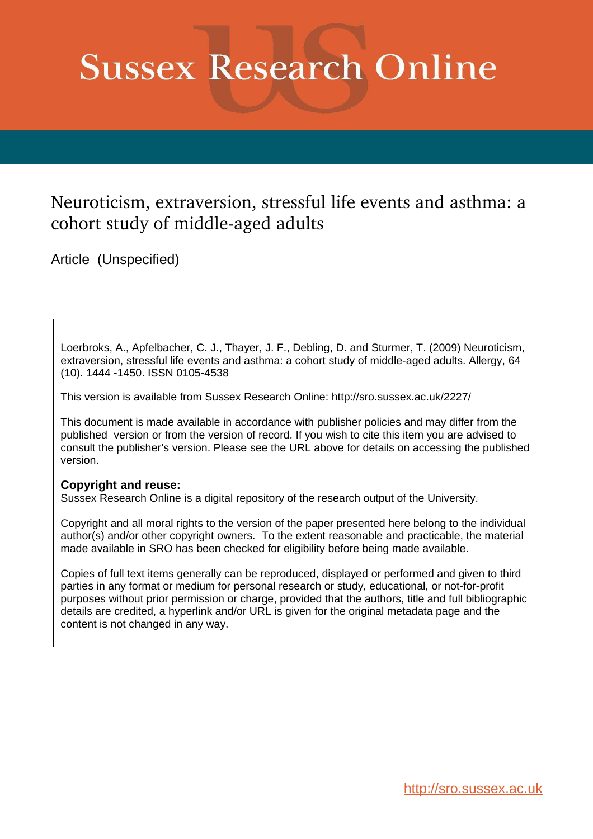# **Sussex Research Online**

# Neuroticism, extraversion, stressful life events and asthma: a cohort study of middle-aged adults

Article (Unspecified)

Loerbroks, A., Apfelbacher, C. J., Thayer, J. F., Debling, D. and Sturmer, T. (2009) Neuroticism, extraversion, stressful life events and asthma: a cohort study of middle-aged adults. Allergy, 64 (10). 1444 -1450. ISSN 0105-4538

This version is available from Sussex Research Online: http://sro.sussex.ac.uk/2227/

This document is made available in accordance with publisher policies and may differ from the published version or from the version of record. If you wish to cite this item you are advised to consult the publisher's version. Please see the URL above for details on accessing the published version.

## **Copyright and reuse:**

Sussex Research Online is a digital repository of the research output of the University.

Copyright and all moral rights to the version of the paper presented here belong to the individual author(s) and/or other copyright owners. To the extent reasonable and practicable, the material made available in SRO has been checked for eligibility before being made available.

Copies of full text items generally can be reproduced, displayed or performed and given to third parties in any format or medium for personal research or study, educational, or not-for-profit purposes without prior permission or charge, provided that the authors, title and full bibliographic details are credited, a hyperlink and/or URL is given for the original metadata page and the content is not changed in any way.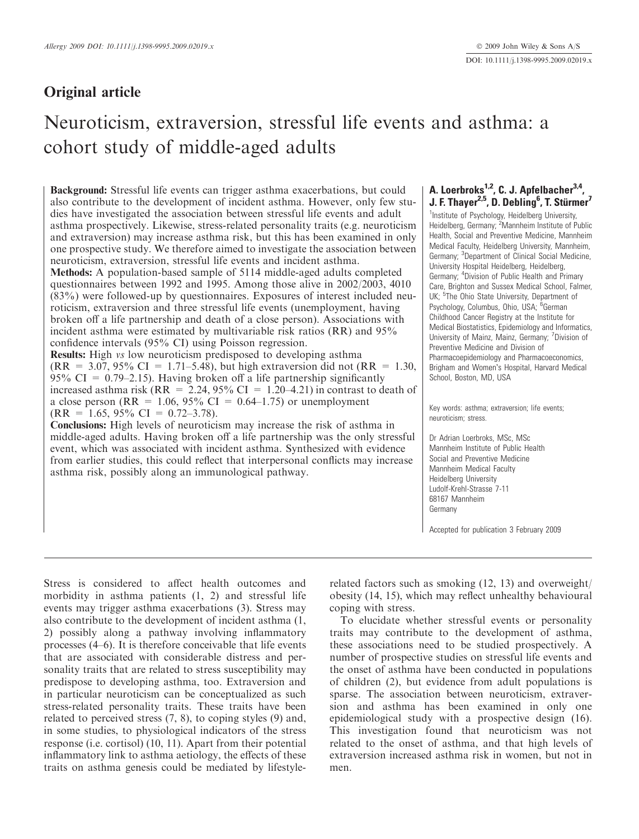## Original article

# Neuroticism, extraversion, stressful life events and asthma: a cohort study of middle-aged adults

Background: Stressful life events can trigger asthma exacerbations, but could also contribute to the development of incident asthma. However, only few studies have investigated the association between stressful life events and adult asthma prospectively. Likewise, stress-related personality traits (e.g. neuroticism and extraversion) may increase asthma risk, but this has been examined in only one prospective study. We therefore aimed to investigate the association between neuroticism, extraversion, stressful life events and incident asthma. Methods: A population-based sample of 5114 middle-aged adults completed questionnaires between 1992 and 1995. Among those alive in 2002/2003, 4010 (83%) were followed-up by questionnaires. Exposures of interest included neuroticism, extraversion and three stressful life events (unemployment, having broken off a life partnership and death of a close person). Associations with incident asthma were estimated by multivariable risk ratios (RR) and 95% confidence intervals (95% CI) using Poisson regression. Results: High *vs* low neuroticism predisposed to developing asthma  $(RR = 3.07, 95\% \text{ CI} = 1.71 - 5.48)$ , but high extraversion did not  $(RR = 1.30, 1.50)$ 95% CI =  $0.79-2.15$ ). Having broken off a life partnership significantly increased asthma risk (RR = 2.24, 95% CI = 1.20–4.21) in contrast to death of a close person (RR = 1.06, 95% CI = 0.64–1.75) or unemployment  $(RR = 1.65, 95\% \text{ CI} = 0.72-3.78).$ 

Conclusions: High levels of neuroticism may increase the risk of asthma in middle-aged adults. Having broken off a life partnership was the only stressful event, which was associated with incident asthma. Synthesized with evidence from earlier studies, this could reflect that interpersonal conflicts may increase asthma risk, possibly along an immunological pathway.

### A. Loerbroks<sup>1,2</sup>, C. J. Apfelbacher<sup>3,4</sup>, J. F. Thayer<sup>2,5</sup>, D. Debling<sup>6</sup>, T. Stürmer<sup>7</sup>

<sup>1</sup>Institute of Psychology, Heidelberg University, Heidelberg, Germany; <sup>2</sup>Mannheim Institute of Public Health, Social and Preventive Medicine, Mannheim Medical Faculty, Heidelberg University, Mannheim, Germany; <sup>3</sup>Department of Clinical Social Medicine, University Hospital Heidelberg, Heidelberg, Germany; <sup>4</sup>Division of Public Health and Primary Care, Brighton and Sussex Medical School, Falmer, UK; <sup>5</sup>The Ohio State University, Department of Psychology, Columbus, Ohio, USA; <sup>6</sup>German Childhood Cancer Registry at the Institute for Medical Biostatistics, Epidemiology and Informatics, University of Mainz, Mainz, Germany; 7Division of Preventive Medicine and Division of Pharmacoepidemiology and Pharmacoeconomics, Brigham and Women's Hospital, Harvard Medical School, Boston, MD, USA

Key words: asthma; extraversion; life events; neuroticism; stress.

Dr Adrian Loerbroks, MSc, MSc Mannheim Institute of Public Health Social and Preventive Medicine Mannheim Medical Faculty Heidelberg University Ludolf-Krehl-Strasse 7-11 68167 Mannheim Germany

Accepted for publication 3 February 2009

Stress is considered to affect health outcomes and morbidity in asthma patients (1, 2) and stressful life events may trigger asthma exacerbations (3). Stress may also contribute to the development of incident asthma (1, 2) possibly along a pathway involving inflammatory processes (4–6). It is therefore conceivable that life events that are associated with considerable distress and personality traits that are related to stress susceptibility may predispose to developing asthma, too. Extraversion and in particular neuroticism can be conceptualized as such stress-related personality traits. These traits have been related to perceived stress (7, 8), to coping styles (9) and, in some studies, to physiological indicators of the stress response (i.e. cortisol) (10, 11). Apart from their potential inflammatory link to asthma aetiology, the effects of these traits on asthma genesis could be mediated by lifestyle-

related factors such as smoking (12, 13) and overweight/ obesity (14, 15), which may reflect unhealthy behavioural coping with stress.

To elucidate whether stressful events or personality traits may contribute to the development of asthma, these associations need to be studied prospectively. A number of prospective studies on stressful life events and the onset of asthma have been conducted in populations of children (2), but evidence from adult populations is sparse. The association between neuroticism, extraversion and asthma has been examined in only one epidemiological study with a prospective design (16). This investigation found that neuroticism was not related to the onset of asthma, and that high levels of extraversion increased asthma risk in women, but not in men.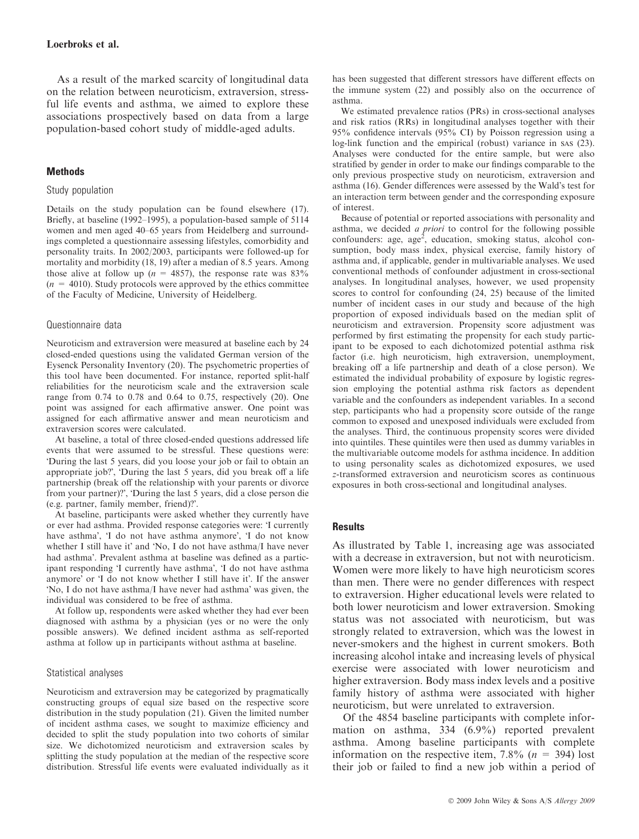As a result of the marked scarcity of longitudinal data on the relation between neuroticism, extraversion, stressful life events and asthma, we aimed to explore these associations prospectively based on data from a large population-based cohort study of middle-aged adults.

#### Methods

#### Study population

Details on the study population can be found elsewhere (17). Briefly, at baseline (1992–1995), a population-based sample of 5114 women and men aged 40–65 years from Heidelberg and surroundings completed a questionnaire assessing lifestyles, comorbidity and personality traits. In 2002/2003, participants were followed-up for mortality and morbidity (18, 19) after a median of 8.5 years. Among those alive at follow up ( $n = 4857$ ), the response rate was  $83\%$  $(n = 4010)$ . Study protocols were approved by the ethics committee of the Faculty of Medicine, University of Heidelberg.

#### Questionnaire data

Neuroticism and extraversion were measured at baseline each by 24 closed-ended questions using the validated German version of the Eysenck Personality Inventory (20). The psychometric properties of this tool have been documented. For instance, reported split-half reliabilities for the neuroticism scale and the extraversion scale range from 0.74 to 0.78 and 0.64 to 0.75, respectively (20). One point was assigned for each affirmative answer. One point was assigned for each affirmative answer and mean neuroticism and extraversion scores were calculated.

At baseline, a total of three closed-ended questions addressed life events that were assumed to be stressful. These questions were: During the last 5 years, did you loose your job or fail to obtain an appropriate job?', 'During the last 5 years, did you break off a life partnership (break off the relationship with your parents or divorce from your partner)?', 'During the last 5 years, did a close person die (e.g. partner, family member, friend)?-.

At baseline, participants were asked whether they currently have or ever had asthma. Provided response categories were: I currently have asthma', 'I do not have asthma anymore', 'I do not know whether I still have it' and 'No, I do not have asthma/I have never had asthma'. Prevalent asthma at baseline was defined as a participant responding 'I currently have asthma', 'I do not have asthma anymore' or 'I do not know whether I still have it'. If the answer 'No, I do not have asthma/I have never had asthma' was given, the individual was considered to be free of asthma.

At follow up, respondents were asked whether they had ever been diagnosed with asthma by a physician (yes or no were the only possible answers). We defined incident asthma as self-reported asthma at follow up in participants without asthma at baseline.

#### Statistical analyses

Neuroticism and extraversion may be categorized by pragmatically constructing groups of equal size based on the respective score distribution in the study population (21). Given the limited number of incident asthma cases, we sought to maximize efficiency and decided to split the study population into two cohorts of similar size. We dichotomized neuroticism and extraversion scales by splitting the study population at the median of the respective score distribution. Stressful life events were evaluated individually as it

has been suggested that different stressors have different effects on the immune system (22) and possibly also on the occurrence of asthma.

We estimated prevalence ratios (PRs) in cross-sectional analyses and risk ratios (RRs) in longitudinal analyses together with their 95% confidence intervals (95% CI) by Poisson regression using a log-link function and the empirical (robust) variance in sas (23). Analyses were conducted for the entire sample, but were also stratified by gender in order to make our findings comparable to the only previous prospective study on neuroticism, extraversion and asthma (16). Gender differences were assessed by the Wald's test for an interaction term between gender and the corresponding exposure of interest.

Because of potential or reported associations with personality and asthma, we decided *a priori* to control for the following possible confounders: age, age<sup>2</sup>, education, smoking status, alcohol consumption, body mass index, physical exercise, family history of asthma and, if applicable, gender in multivariable analyses. We used conventional methods of confounder adjustment in cross-sectional analyses. In longitudinal analyses, however, we used propensity scores to control for confounding (24, 25) because of the limited number of incident cases in our study and because of the high proportion of exposed individuals based on the median split of neuroticism and extraversion. Propensity score adjustment was performed by first estimating the propensity for each study participant to be exposed to each dichotomized potential asthma risk factor (i.e. high neuroticism, high extraversion, unemployment, breaking off a life partnership and death of a close person). We estimated the individual probability of exposure by logistic regression employing the potential asthma risk factors as dependent variable and the confounders as independent variables. In a second step, participants who had a propensity score outside of the range common to exposed and unexposed individuals were excluded from the analyses. Third, the continuous propensity scores were divided into quintiles. These quintiles were then used as dummy variables in the multivariable outcome models for asthma incidence. In addition to using personality scales as dichotomized exposures, we used *z*-transformed extraversion and neuroticism scores as continuous exposures in both cross-sectional and longitudinal analyses.

#### **Results**

As illustrated by Table 1, increasing age was associated with a decrease in extraversion, but not with neuroticism. Women were more likely to have high neuroticism scores than men. There were no gender differences with respect to extraversion. Higher educational levels were related to both lower neuroticism and lower extraversion. Smoking status was not associated with neuroticism, but was strongly related to extraversion, which was the lowest in never-smokers and the highest in current smokers. Both increasing alcohol intake and increasing levels of physical exercise were associated with lower neuroticism and higher extraversion. Body mass index levels and a positive family history of asthma were associated with higher neuroticism, but were unrelated to extraversion.

Of the 4854 baseline participants with complete information on asthma, 334 (6.9%) reported prevalent asthma. Among baseline participants with complete information on the respective item,  $7.8\%$  ( $n = 394$ ) lost their job or failed to find a new job within a period of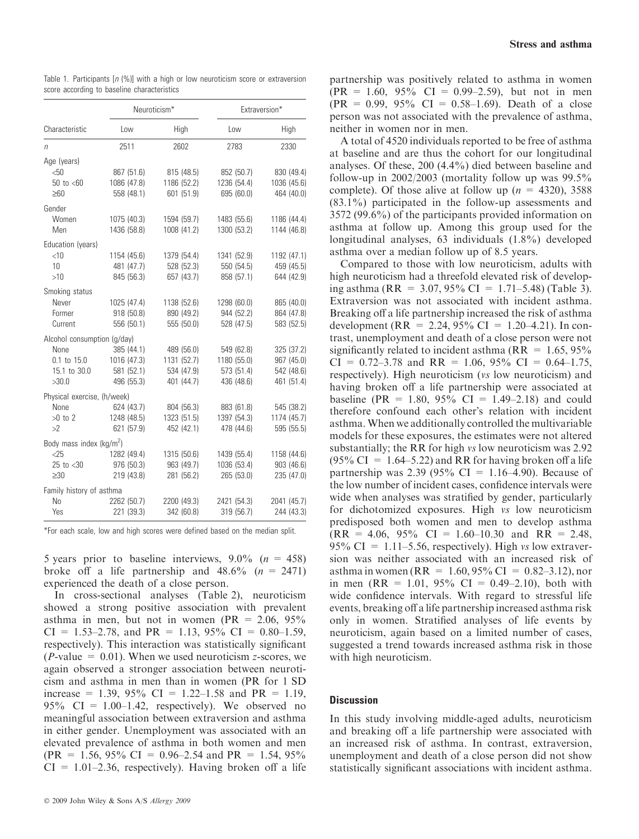Table 1. Participants  $[n \, (%)]$  with a high or low neuroticism score or extraversion score according to baseline characteristics

|                                      |             | Neuroticism* |             | Extraversion* |  |  |
|--------------------------------------|-------------|--------------|-------------|---------------|--|--|
| Characteristic                       | Low         | High         | Low         | High          |  |  |
| $\eta$                               | 2511        | 2602         | 2783        | 2330          |  |  |
| Age (years)                          |             |              |             |               |  |  |
| < 50                                 | 867 (51.6)  | 815 (48.5)   | 852 (50.7)  | 830 (49.4)    |  |  |
| $50$ to $<60$                        | 1086 (47.8) | 1186 (52.2)  | 1236 (54.4) | 1036 (45.6)   |  |  |
| ≥60                                  | 558 (48.1)  | 601 (51.9)   | 695 (60.0)  | 464 (40.0)    |  |  |
| Gender                               |             |              |             |               |  |  |
| Women                                | 1075 (40.3) | 1594 (59.7)  | 1483 (55.6) | 1186 (44.4)   |  |  |
| Men                                  | 1436 (58.8) | 1008 (41.2)  | 1300 (53.2) | 1144 (46.8)   |  |  |
| Education (years)                    |             |              |             |               |  |  |
| <10                                  | 1154 (45.6) | 1379 (54.4)  | 1341 (52.9) | 1192 (47.1)   |  |  |
| 10                                   | 481 (47.7)  | 528 (52.3)   | 550 (54.5)  | 459 (45.5)    |  |  |
| >10                                  | 845 (56.3)  | 657 (43.7)   | 858 (57.1)  | 644 (42.9)    |  |  |
| Smoking status                       |             |              |             |               |  |  |
| Never                                | 1025 (47.4) | 1138 (52.6)  | 1298 (60.0) | 865 (40.0)    |  |  |
| Former                               | 918 (50.8)  | 890 (49.2)   | 944 (52.2)  | 864 (47.8)    |  |  |
| Current                              | 556 (50.1)  | 555 (50.0)   | 528 (47.5)  | 583 (52.5)    |  |  |
| Alcohol consumption (g/day)          |             |              |             |               |  |  |
| None                                 | 385 (44.1)  | 489 (56.0)   | 549 (62.8)  | 325 (37.2)    |  |  |
| 0.1 to 15.0                          | 1016 (47.3) | 1131 (52.7)  | 1180 (55.0) | 967 (45.0)    |  |  |
| 15.1 to 30.0                         | 581 (52.1)  | 534 (47.9)   | 573 (51.4)  | 542 (48.6)    |  |  |
| >30.0                                | 496 (55.3)  | 401 (44.7)   | 436 (48.6)  | 461 (51.4)    |  |  |
| Physical exercise, (h/week)          |             |              |             |               |  |  |
| None                                 | 624 (43.7)  | 804 (56.3)   | 883 (61.8)  | 545 (38.2)    |  |  |
| $>0$ to 2                            | 1248 (48.5) | 1323 (51.5)  | 1397 (54.3) | 1174 (45.7)   |  |  |
| >2                                   | 621 (57.9)  | 452 (42.1)   | 478 (44.6)  | 595 (55.5)    |  |  |
| Body mass index (kg/m <sup>2</sup> ) |             |              |             |               |  |  |
| < 25                                 | 1282 (49.4) | 1315 (50.6)  | 1439 (55.4) | 1158 (44.6)   |  |  |
| 25 to $<$ 30                         | 976 (50.3)  | 963 (49.7)   | 1036 (53.4) | 903 (46.6)    |  |  |
| $\geq 30$                            | 219 (43.8)  | 281 (56.2)   | 265 (53.0)  | 235 (47.0)    |  |  |
| Family history of asthma             |             |              |             |               |  |  |
| N <sub>0</sub>                       | 2262 (50.7) | 2200 (49.3)  | 2421 (54.3) | 2041 (45.7)   |  |  |
| Yes                                  | 221 (39.3)  | 342 (60.8)   | 319 (56.7)  | 244 (43.3)    |  |  |

\*For each scale, low and high scores were defined based on the median split.

5 years prior to baseline interviews,  $9.0\%$  ( $n = 458$ ) broke off a life partnership and  $48.6\%$  ( $n = 2471$ ) experienced the death of a close person.

In cross-sectional analyses (Table 2), neuroticism showed a strong positive association with prevalent asthma in men, but not in women (PR =  $2.06$ ,  $95\%$ )  $CI = 1.53-2.78$ , and  $PR = 1.13$ ,  $95\% CI = 0.80-1.59$ , respectively). This interaction was statistically significant  $(P\text{-value} = 0.01)$ . When we used neuroticism *z*-scores, we again observed a stronger association between neuroticism and asthma in men than in women (PR for 1 SD increase = 1.39, 95% CI = 1.22–1.58 and PR = 1.19, 95% CI =  $1.00-1.42$ , respectively). We observed no meaningful association between extraversion and asthma in either gender. Unemployment was associated with an elevated prevalence of asthma in both women and men  $PR = 1.56, 95\% \text{ CI} = 0.96 - 2.54 \text{ and } PR = 1.54, 95\%$  $CI = 1.01-2.36$ , respectively). Having broken off a life

partnership was positively related to asthma in women  $(PR = 1.60, 95\% \text{ CI} = 0.99{\text{-}}2.59)$ , but not in men  $PR = 0.99, 95\% \text{ CI} = 0.58{\text -}1.69$ . Death of a close person was not associated with the prevalence of asthma, neither in women nor in men.

A total of 4520 individuals reported to be free of asthma at baseline and are thus the cohort for our longitudinal analyses. Of these, 200 (4.4%) died between baseline and follow-up in  $2002/2003$  (mortality follow up was  $99.5\%$ ) complete). Of those alive at follow up  $(n = 4320)$ , 3588 (83.1%) participated in the follow-up assessments and 3572 (99.6%) of the participants provided information on asthma at follow up. Among this group used for the longitudinal analyses, 63 individuals (1.8%) developed asthma over a median follow up of 8.5 years.

Compared to those with low neuroticism, adults with high neuroticism had a threefold elevated risk of developing asthma (RR =  $3.07,95\%$  CI =  $1.71-5.48$ ) (Table 3). Extraversion was not associated with incident asthma. Breaking off a life partnership increased the risk of asthma development (RR = 2.24, 95% CI = 1.20–4.21). In contrast, unemployment and death of a close person were not significantly related to incident asthma ( $RR = 1.65, 95\%$ )  $CI = 0.72 - 3.78$  and RR = 1.06, 95%  $CI = 0.64 - 1.75$ , respectively). High neuroticism (*vs* low neuroticism) and having broken off a life partnership were associated at baseline (PR = 1.80, 95% CI = 1.49–2.18) and could therefore confound each other's relation with incident asthma. When we additionally controlled the multivariable models for these exposures, the estimates were not altered substantially; the RR for high *vs* low neuroticism was 2.92  $(95\% \text{ CI} = 1.64 - 5.22)$  and RR for having broken off a life partnership was 2.39 (95% CI = 1.16–4.90). Because of the low number of incident cases, confidence intervals were wide when analyses was stratified by gender, particularly for dichotomized exposures. High *vs* low neuroticism predisposed both women and men to develop asthma  $(RR = 4.06, 95\% \text{ CI} = 1.60 - 10.30 \text{ and } RR = 2.48,$ 95% CI = 1.11–5.56, respectively). High *vs* low extraversion was neither associated with an increased risk of asthma in women (RR =  $1.60,95\%$  CI = 0.82–3.12), nor in men  $(RR = 1.01, 95\% \text{ CI} = 0.49{\text -}2.10)$ , both with wide confidence intervals. With regard to stressful life events, breaking off a life partnership increased asthma risk only in women. Stratified analyses of life events by neuroticism, again based on a limited number of cases, suggested a trend towards increased asthma risk in those with high neuroticism.

#### **Discussion**

In this study involving middle-aged adults, neuroticism and breaking off a life partnership were associated with an increased risk of asthma. In contrast, extraversion, unemployment and death of a close person did not show statistically significant associations with incident asthma.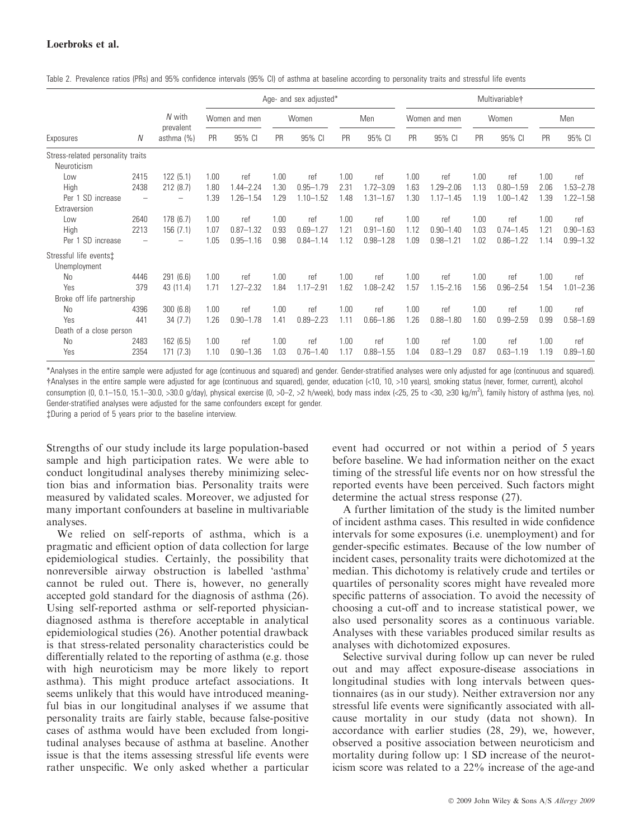| Exposures                                        |      | N with<br>prevalent<br>asthma $(%)$ | Age- and sex adjusted* |               |       |               |      |               |               | Multivariable <sup>+</sup> |       |               |      |               |  |
|--------------------------------------------------|------|-------------------------------------|------------------------|---------------|-------|---------------|------|---------------|---------------|----------------------------|-------|---------------|------|---------------|--|
|                                                  |      |                                     | Women and men          |               | Women |               | Men  |               | Women and men |                            | Women |               | Men  |               |  |
|                                                  | Ν    |                                     | PR                     | 95% CI        | PR    | 95% CI        | PR   | 95% CI        | PR            | 95% CI                     | PR    | 95% CI        | PR   | 95% CI        |  |
| Stress-related personality traits<br>Neuroticism |      |                                     |                        |               |       |               |      |               |               |                            |       |               |      |               |  |
| Low                                              | 2415 | 122(5.1)                            | 1.00                   | ref           | 1.00  | ref           | 1.00 | ref           | 1.00          | ref                        | 1.00  | ref           | 1.00 | ref           |  |
| High                                             | 2438 | 212 (8.7)                           | 1.80                   | $1.44 - 2.24$ | 1.30  | $0.95 - 1.79$ | 2.31 | $1.72 - 3.09$ | 1.63          | 1.29-2.06                  | 1.13  | $0.80 - 1.59$ | 2.06 | $1.53 - 2.78$ |  |
| Per 1 SD increase                                |      |                                     | 1.39                   | $.26 - 1.54$  | 1.29  | $1.10 - 1.52$ | 1.48 | $1.31 - 1.67$ | 1.30          | $1.17 - 1.45$              | 1.19  | $1.00 - 1.42$ | 1.39 | $1.22 - 1.58$ |  |
| Extraversion                                     |      |                                     |                        |               |       |               |      |               |               |                            |       |               |      |               |  |
| Low                                              | 2640 | 178 (6.7)                           | 1.00                   | ref           | 1.00  | ref           | 1.00 | ref           | 1.00          | ref                        | 1.00  | ref           | 1.00 | ref           |  |
| High                                             | 2213 | 156 (7.1)                           | 1.07                   | $0.87 - 1.32$ | 0.93  | $0.69 - 1.27$ | 1.21 | $0.91 - 1.60$ | 1.12          | $0.90 - 1.40$              | 1.03  | $0.74 - 1.45$ | 1.21 | $0.90 - 1.63$ |  |
| Per 1 SD increase                                |      |                                     | 1.05                   | $0.95 - 1.16$ | 0.98  | $0.84 - 1.14$ | 1.12 | $0.98 - 1.28$ | 1.09          | $0.98 - 1.21$              | 1.02  | $0.86 - 1.22$ | 1.14 | $0.99 - 1.32$ |  |
| Stressful life events:                           |      |                                     |                        |               |       |               |      |               |               |                            |       |               |      |               |  |
| Unemployment                                     |      |                                     |                        |               |       |               |      |               |               |                            |       |               |      |               |  |
| No                                               | 4446 | 291 (6.6)                           | 1.00                   | ref           | 1.00  | ref           | 1.00 | ref           | 1.00          | ref                        | 1.00  | ref           | 1.00 | ref           |  |
| Yes                                              | 379  | 43 (11.4)                           | 1.71                   | $.27 - 2.32$  | 1.84  | $1.17 - 2.91$ | 1.62 | $1.08 - 2.42$ | 1.57          | $1.15 - 2.16$              | 1.56  | $0.96 - 2.54$ | 1.54 | $1.01 - 2.36$ |  |
| Broke off life partnership                       |      |                                     |                        |               |       |               |      |               |               |                            |       |               |      |               |  |
| No                                               | 4396 | 300(6.8)                            | 1.00                   | ref           | 1.00  | ref           | 1.00 | ref           | 1.00          | ref                        | 1.00  | ref           | 1.00 | ref           |  |
| Yes                                              | 441  | 34(7.7)                             | 1.26                   | $0.90 - 1.78$ | 1.41  | $0.89 - 2.23$ | 1.11 | $0.66 - 1.86$ | 1.26          | $0.88 - 1.80$              | 1.60  | $0.99 - 2.59$ | 0.99 | $0.58 - 1.69$ |  |
| Death of a close person                          |      |                                     |                        |               |       |               |      |               |               |                            |       |               |      |               |  |
| No                                               | 2483 | 162(6.5)                            | 1.00                   | ref           | 1.00  | ref           | 1.00 | ref           | 1.00          | ref                        | 1.00  | ref           | 1.00 | ref           |  |
| Yes                                              | 2354 | 171(7.3)                            | 1.10                   | $0.90 - 1.36$ | 1.03  | $0.76 - 1.40$ | 1.17 | $0.88 - 1.55$ | 1.04          | $0.83 - 1.29$              | 0.87  | $0.63 - 1.19$ | 1.19 | $0.89 - 1.60$ |  |

Table 2. Prevalence ratios (PRs) and 95% confidence intervals (95% CI) of asthma at baseline according to personality traits and stressful life events

\*Analyses in the entire sample were adjusted for age (continuous and squared) and gender. Gender-stratified analyses were only adjusted for age (continuous and squared). Analyses in the entire sample were adjusted for age (continuous and squared), gender, education (<10, 10, >10 years), smoking status (never, former, current), alcohol consumption (0, 0.1–15.0, 15.1–30.0, >30.0 g/day), physical exercise (0, >0–2, >2 h/week), body mass index (<25, 25 to <30, ≥30 kg/m<sup>2</sup>), family history of asthma (yes, no). Gender-stratified analyses were adjusted for the same confounders except for gender.

During a period of 5 years prior to the baseline interview.

Strengths of our study include its large population-based sample and high participation rates. We were able to conduct longitudinal analyses thereby minimizing selection bias and information bias. Personality traits were measured by validated scales. Moreover, we adjusted for many important confounders at baseline in multivariable analyses.

We relied on self-reports of asthma, which is a pragmatic and efficient option of data collection for large epidemiological studies. Certainly, the possibility that nonreversible airway obstruction is labelled 'asthma' cannot be ruled out. There is, however, no generally accepted gold standard for the diagnosis of asthma (26). Using self-reported asthma or self-reported physiciandiagnosed asthma is therefore acceptable in analytical epidemiological studies (26). Another potential drawback is that stress-related personality characteristics could be differentially related to the reporting of asthma (e.g. those with high neuroticism may be more likely to report asthma). This might produce artefact associations. It seems unlikely that this would have introduced meaningful bias in our longitudinal analyses if we assume that personality traits are fairly stable, because false-positive cases of asthma would have been excluded from longitudinal analyses because of asthma at baseline. Another issue is that the items assessing stressful life events were rather unspecific. We only asked whether a particular

event had occurred or not within a period of 5 years before baseline. We had information neither on the exact timing of the stressful life events nor on how stressful the reported events have been perceived. Such factors might determine the actual stress response (27).

A further limitation of the study is the limited number of incident asthma cases. This resulted in wide confidence intervals for some exposures (i.e. unemployment) and for gender-specific estimates. Because of the low number of incident cases, personality traits were dichotomized at the median. This dichotomy is relatively crude and tertiles or quartiles of personality scores might have revealed more specific patterns of association. To avoid the necessity of choosing a cut-off and to increase statistical power, we also used personality scores as a continuous variable. Analyses with these variables produced similar results as analyses with dichotomized exposures.

Selective survival during follow up can never be ruled out and may affect exposure-disease associations in longitudinal studies with long intervals between questionnaires (as in our study). Neither extraversion nor any stressful life events were significantly associated with allcause mortality in our study (data not shown). In accordance with earlier studies (28, 29), we, however, observed a positive association between neuroticism and mortality during follow up: 1 SD increase of the neuroticism score was related to a 22% increase of the age-and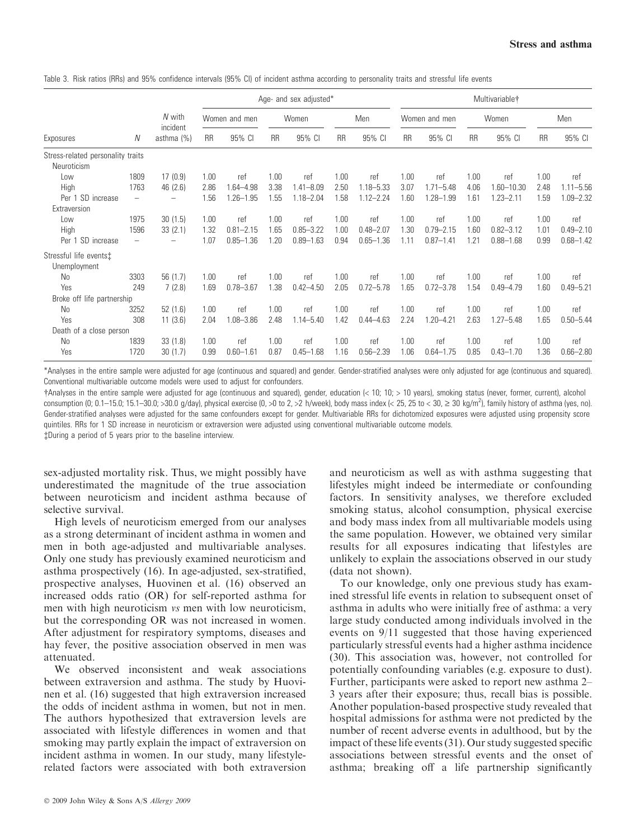Table 3. Risk ratios (RRs) and 95% confidence intervals (95% CI) of incident asthma according to personality traits and stressful life events

|                                                  |      | N with<br>incident<br>asthma (%) | Age- and sex adjusted* |               |           |               |           |               |               | Multivariable <sup>+</sup> |           |                |           |               |  |
|--------------------------------------------------|------|----------------------------------|------------------------|---------------|-----------|---------------|-----------|---------------|---------------|----------------------------|-----------|----------------|-----------|---------------|--|
| Exposures                                        |      |                                  | Women and men          |               | Women     |               | Men       |               | Women and men |                            | Women     |                | Men       |               |  |
|                                                  | N    |                                  | <b>RR</b>              | 95% CI        | <b>RR</b> | 95% CI        | <b>RR</b> | 95% CI        | <b>RR</b>     | 95% CI                     | <b>RR</b> | 95% CI         | <b>RR</b> | 95% CI        |  |
| Stress-related personality traits<br>Neuroticism |      |                                  |                        |               |           |               |           |               |               |                            |           |                |           |               |  |
| Low                                              | 1809 | 17(0.9)                          | 1.00                   | ref           | 1.00      | ref           | 1.00      | ref           | 1.00          | ref                        | 1.00      | ref            | 1.00      | ref           |  |
| High                                             | 1763 | 46 (2.6)                         | 2.86                   | $1.64 - 4.98$ | 3.38      | $1.41 - 8.09$ | 2.50      | $1.18 - 5.33$ | 3.07          | $1.71 - 5.48$              | 4.06      | $1.60 - 10.30$ | 2.48      | $1.11 - 5.56$ |  |
| Per 1 SD increase                                |      |                                  | 1.56                   | $1.26 - 1.95$ | 1.55      | $1.18 - 2.04$ | 1.58      | $1.12 - 2.24$ | 1.60          | $1.28 - 1.99$              | 1.61      | $1.23 - 2.11$  | 1.59      | $1.09 - 2.32$ |  |
| Extraversion                                     |      |                                  |                        |               |           |               |           |               |               |                            |           |                |           |               |  |
| Low                                              | 1975 | 30(1.5)                          | 1.00                   | ref           | 1.00      | ref           | 1.00      | ref           | 1.00          | ref                        | 1.00      | ref            | 1.00      | ref           |  |
| High                                             | 1596 | 33(2.1)                          | 1.32                   | $0.81 - 2.15$ | 1.65      | $0.85 - 3.22$ | 1.00      | $0.48 - 2.07$ | 1.30          | $0.79 - 2.15$              | 1.60      | $0.82 - 3.12$  | 1.01      | $0.49 - 2.10$ |  |
| Per 1 SD increase                                |      |                                  | 1.07                   | $0.85 - 1.36$ | 1.20      | $0.89 - 1.63$ | 0.94      | $0.65 - 1.36$ | 1.11          | $0.87 - 1.41$              | 1.21      | $0.88 - 1.68$  | 0.99      | $0.68 - 1.42$ |  |
| Stressful life events:<br>Unemployment           |      |                                  |                        |               |           |               |           |               |               |                            |           |                |           |               |  |
| <b>No</b>                                        | 3303 | 56 (1.7)                         | 1.00                   | ref           | 1.00      | ref           | 1.00      | ref           | 1.00          | ref                        | 1.00      | ref            | 1.00      | ref           |  |
| Yes                                              | 249  | 7(2.8)                           | 1.69                   | $0.78 - 3.67$ | 1.38      | $0.42 - 4.50$ | 2.05      | $0.72 - 5.78$ | 1.65          | $0.72 - 3.78$              | 1.54      | $0.49 - 4.79$  | 1.60      | $0.49 - 5.21$ |  |
| Broke off life partnership                       |      |                                  |                        |               |           |               |           |               |               |                            |           |                |           |               |  |
| <b>No</b>                                        | 3252 | 52(1.6)                          | 1.00                   | ref           | 1.00      | ref           | 1.00      | ref           | 1.00          | ref                        | 1.00      | ref            | 1.00      | ref           |  |
| Yes                                              | 308  | 11(3.6)                          | 2.04                   | $1.08 - 3.86$ | 2.48      | $1.14 - 5.40$ | 1.42      | $0.44 - 4.63$ | 2.24          | 1.20-4.21                  | 2.63      | $1.27 - 5.48$  | 1.65      | $0.50 - 5.44$ |  |
| Death of a close person                          |      |                                  |                        |               |           |               |           |               |               |                            |           |                |           |               |  |
| No                                               | 1839 | 33(1.8)                          | 1.00                   | ref           | 1.00      | ref           | 1.00      | ref           | 1.00          | ref                        | 1.00      | ref            | 1.00      | ref           |  |
| Yes                                              | 1720 | 30(1.7)                          | 0.99                   | $0.60 - 1.61$ | 0.87      | $0.45 - 1.68$ | 1.16      | $0.56 - 2.39$ | 1.06          | $0.64 - 1.75$              | 0.85      | $0.43 - 1.70$  | 1.36      | $0.66 - 2.80$ |  |

\*Analyses in the entire sample were adjusted for age (continuous and squared) and gender. Gender-stratified analyses were only adjusted for age (continuous and squared). Conventional multivariable outcome models were used to adjust for confounders.

Analyses in the entire sample were adjusted for age (continuous and squared), gender, education (< 10; 10; > 10 years), smoking status (never, former, current), alcohol consumption (0; 0.1–15.0; 15.1–30.0; >30.0 g/day), physical exercise (0, >0 to 2, >2 h/week), body mass index (< 25, 25 to < 30,  $\geq$  30 kg/m<sup>2</sup>), family history of asthma (yes, no). Gender-stratified analyses were adjusted for the same confounders except for gender. Multivariable RRs for dichotomized exposures were adjusted using propensity score quintiles. RRs for 1 SD increase in neuroticism or extraversion were adjusted using conventional multivariable outcome models. During a period of 5 years prior to the baseline interview.

sex-adjusted mortality risk. Thus, we might possibly have underestimated the magnitude of the true association between neuroticism and incident asthma because of

selective survival. High levels of neuroticism emerged from our analyses as a strong determinant of incident asthma in women and men in both age-adjusted and multivariable analyses. Only one study has previously examined neuroticism and asthma prospectively (16). In age-adjusted, sex-stratified, prospective analyses, Huovinen et al. (16) observed an increased odds ratio (OR) for self-reported asthma for men with high neuroticism *vs* men with low neuroticism, but the corresponding OR was not increased in women. After adjustment for respiratory symptoms, diseases and hay fever, the positive association observed in men was attenuated.

We observed inconsistent and weak associations between extraversion and asthma. The study by Huovinen et al. (16) suggested that high extraversion increased the odds of incident asthma in women, but not in men. The authors hypothesized that extraversion levels are associated with lifestyle differences in women and that smoking may partly explain the impact of extraversion on incident asthma in women. In our study, many lifestylerelated factors were associated with both extraversion

and neuroticism as well as with asthma suggesting that lifestyles might indeed be intermediate or confounding factors. In sensitivity analyses, we therefore excluded smoking status, alcohol consumption, physical exercise and body mass index from all multivariable models using the same population. However, we obtained very similar results for all exposures indicating that lifestyles are unlikely to explain the associations observed in our study (data not shown).

To our knowledge, only one previous study has examined stressful life events in relation to subsequent onset of asthma in adults who were initially free of asthma: a very large study conducted among individuals involved in the events on 9/11 suggested that those having experienced particularly stressful events had a higher asthma incidence (30). This association was, however, not controlled for potentially confounding variables (e.g. exposure to dust). Further, participants were asked to report new asthma 2– 3 years after their exposure; thus, recall bias is possible. Another population-based prospective study revealed that hospital admissions for asthma were not predicted by the number of recent adverse events in adulthood, but by the impact of these life events (31). Our study suggested specific associations between stressful events and the onset of asthma; breaking off a life partnership significantly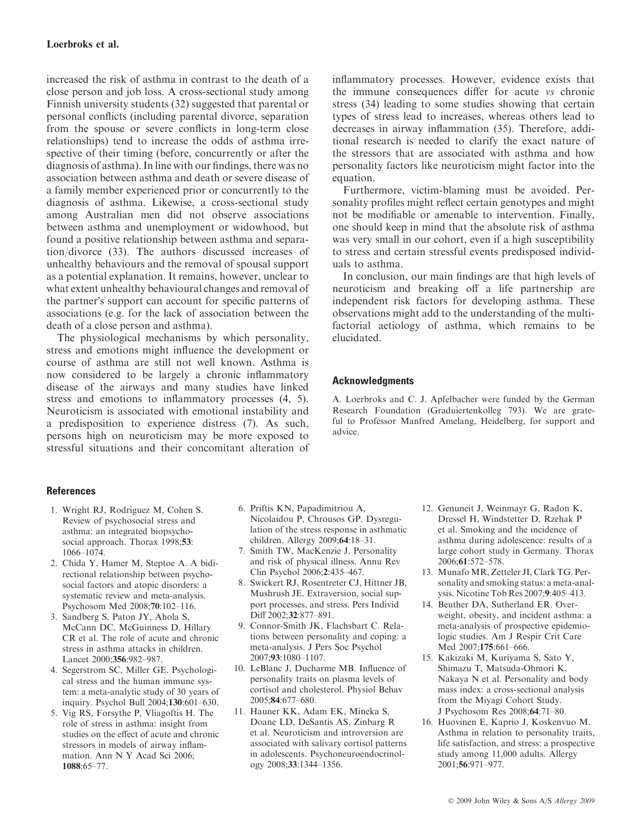increased the risk of asthma in contrast to the death of a close person and job loss. A cross-sectional study among Finnish university students (32) suggested that parental or personal conflicts (including parental divorce, separation from the spouse or severe conflicts in long-term close relationships) tend to increase the odds of asthma irrespective of their timing (before, concurrently or after the diagnosis of asthma). In line with our findings, there was no association between asthma and death or severe disease of a family member experienced prior or concurrently to the diagnosis of asthma. Likewise, a cross-sectional study among Australian men did not observe associations between asthma and unemployment or widowhood, but found a positive relationship between asthma and separation/divorce (33). The authors discussed increases of unhealthy behaviours and the removal of spousal support as a potential explanation. It remains, however, unclear to what extent unhealthy behavioural changes and removal of the partner's support can account for specific patterns of associations (e.g. for the lack of association between the death of a close person and asthma).

The physiological mechanisms by which personality, stress and emotions might influence the development or course of asthma are still not well known. Asthma is now considered to be largely a chronic inflammatory disease of the airways and many studies have linked stress and emotions to inflammatory processes (4, 5). Neuroticism is associated with emotional instability and a predisposition to experience distress (7). As such, persons high on neuroticism may be more exposed to stressful situations and their concomitant alteration of

inflammatory processes. However, evidence exists that the immune consequences differ for acute *vs* chronic stress (34) leading to some studies showing that certain types of stress lead to increases, whereas others lead to decreases in airway inflammation (35). Therefore, additional research is needed to clarify the exact nature of the stressors that are associated with asthma and how personality factors like neuroticism might factor into the equation.

Furthermore, victim-blaming must be avoided. Personality profiles might reflect certain genotypes and might not be modifiable or amenable to intervention. Finally, one should keep in mind that the absolute risk of asthma was very small in our cohort, even if a high susceptibility to stress and certain stressful events predisposed individuals to asthma.

In conclusion, our main findings are that high levels of neuroticism and breaking off a life partnership are independent risk factors for developing asthma. These observations might add to the understanding of the multifactorial aetiology of asthma, which remains to be elucidated.

#### Acknowledgments

A. Loerbroks and C. J. Apfelbacher were funded by the German Research Foundation (Graduiertenkolleg 793). We are grateful to Professor Manfred Amelang, Heidelberg, for support and advice.

#### References

- 1. Wright RJ, Rodriguez M, Cohen S. Review of psychosocial stress and asthma: an integrated biopsychosocial approach. Thorax 1998;53: 1066–1074.
- 2. Chida Y, Hamer M, Steptoe A. A bidirectional relationship between psychosocial factors and atopic disorders: a systematic review and meta-analysis. Psychosom Med 2008;70:102–116.
- 3. Sandberg S, Paton JY, Ahola S, McCann DC, McGuinness D, Hillary CR et al. The role of acute and chronic stress in asthma attacks in children. Lancet 2000;356:982–987.
- 4. Segerstrom SC, Miller GE. Psychological stress and the human immune system: a meta-analytic study of 30 years of inquiry. Psychol Bull 2004;130:601–630.
- 5. Vig RS, Forsythe P, Vliagoftis H. The role of stress in asthma: insight from studies on the effect of acute and chronic stressors in models of airway inflammation. Ann N Y Acad Sci 2006; 1088:65–77.
- 6. Priftis KN, Papadimitriou A, Nicolaidou P, Chrousos GP. Dysregulation of the stress response in asthmatic children. Allergy 2009;64:18–31.
- 7. Smith TW, MacKenzie J. Personality and risk of physical illness. Annu Rev Clin Psychol 2006;2:435–467.
- 8. Swickert RJ, Rosentreter CJ, Hittner JB, Mushrush JE. Extraversion, social support processes, and stress. Pers Individ Diff 2002;32:877–891.
- 9. Connor-Smith JK, Flachsbart C. Relations between personality and coping: a meta-analysis. J Pers Soc Psychol 2007;93:1080–1107.
- 10. LeBlanc J, Ducharme MB. Influence of personality traits on plasma levels of cortisol and cholesterol. Physiol Behav 2005;84:677–680.
- 11. Hauner KK, Adam EK, Mineka S, Doane LD, DeSantis AS, Zinbarg R et al. Neuroticism and introversion are associated with salivary cortisol patterns in adolescents. Psychoneuroendocrinology 2008;33:1344–1356.
- 12. Genuneit J, Weinmayr G, Radon K, Dressel H, Windstetter D, Rzehak P et al. Smoking and the incidence of asthma during adolescence: results of a large cohort study in Germany. Thorax 2006;61:572–578.
- 13. MunafoMR, Zetteler JI, Clark TG. Personality and smoking status: a meta-analysis. Nicotine Tob Res 2007;9:405–413.
- 14. Beuther DA, Sutherland ER. Overweight, obesity, and incident asthma: a meta-analysis of prospective epidemiologic studies. Am J Respir Crit Care Med 2007;175:661–666.
- 15. Kakizaki M, Kuriyama S, Sato Y, Shimazu T, Matsuda-Ohmori K, Nakaya N et al. Personality and body mass index: a cross-sectional analysis from the Miyagi Cohort Study. J Psychosom Res 2008;64:71–80.
- 16. Huovinen E, Kaprio J, Koskenvuo M. Asthma in relation to personality traits, life satisfaction, and stress: a prospective study among 11,000 adults. Allergy 2001;56:971–977.